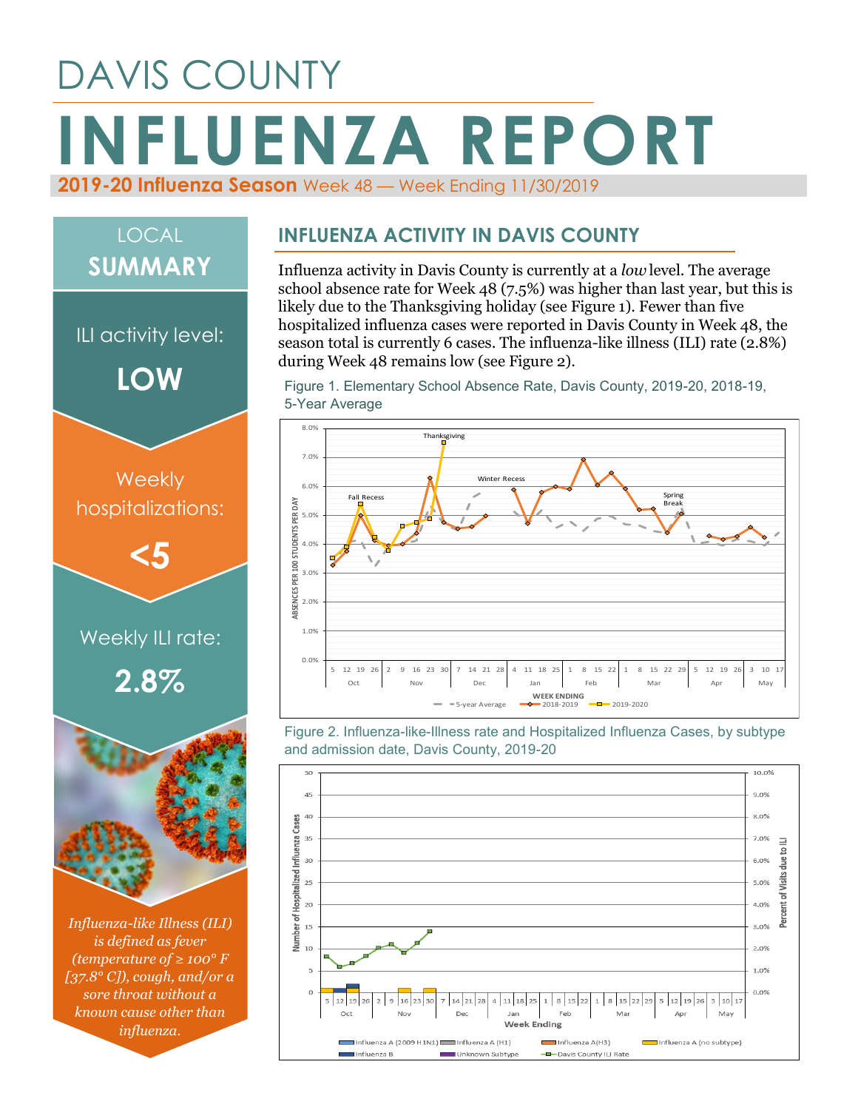## DAVIS COUNTY **INFLUENZA REPORT 2019-20 Influenza Season** Week 48 — Week Ending 11/30/2019

# *Influenza-like Illness (ILI)*  Weekly ILI rate: **2.8% Weekly** hospitalizations: **<5** ILI activity level: **LOW** LOCAL **SUMMARY**

*is defined as fever (temperature of ≥ 100° F [37.8° C]), cough, and/or a sore throat without a known cause other than influenza.*

#### **INFLUENZA ACTIVITY IN DAVIS COUNTY**

Influenza activity in Davis County is currently at a *low* level. The average school absence rate for Week 48 (7.5%) was higher than last year, but this is likely due to the Thanksgiving holiday (see Figure 1). Fewer than five hospitalized influenza cases were reported in Davis County in Week 48, the season total is currently 6 cases. The influenza-like illness (ILI) rate (2.8%) during Week 48 remains low (see Figure 2).

Figure 1. Elementary School Absence Rate, Davis County, 2019-20, 2018-19, 5-Year Average



Figure 2. Influenza-like-Illness rate and Hospitalized Influenza Cases, by subtype and admission date, Davis County, 2019-20